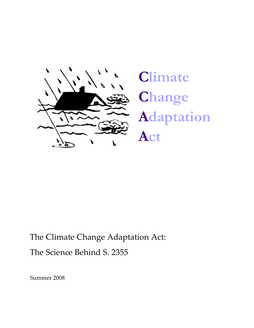

**Climate Change Adaptation Act** 

The Climate Change Adaptation Act: The Science Behind S. 2355

Summer 2008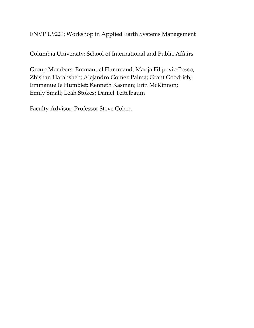# ENVP U9229: Workshop in Applied Earth Systems Management

Columbia University: School of International and Public Affairs

Group Members: Emmanuel Flammand; Marija Filipovic‐Posso; Zhishan Harahsheh; Alejandro Gomez Palma; Grant Goodrich; Emmanuelle Humblet; Kenneth Kasman; Erin McKinnon; Emily Small; Leah Stokes; Daniel Teitelbaum

Faculty Advisor: Professor Steve Cohen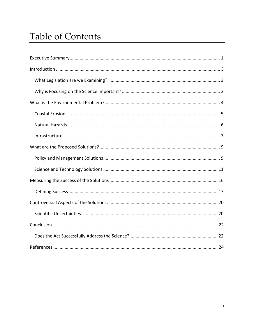# **Table of Contents**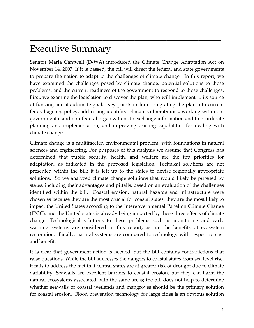# Executive Summary

Senator Maria Cantwell (D‐WA) introduced the Climate Change Adaptation Act on November 14, 2007. If it is passed, the bill will direct the federal and state governments to prepare the nation to adapt to the challenges of climate change. In this report, we have examined the challenges posed by climate change, potential solutions to those problems, and the current readiness of the government to respond to those challenges. First, we examine the legislation to discover the plan, who will implement it, its source of funding and its ultimate goal. Key points include integrating the plan into current federal agency policy, addressing identified climate vulnerabilities, working with non‐ governmental and non‐federal organizations to exchange information and to coordinate planning and implementation, and improving existing capabilities for dealing with climate change.

<span id="page-3-0"></span> $\mathcal{L}_\text{max}$  and  $\mathcal{L}_\text{max}$  and  $\mathcal{L}_\text{max}$  and  $\mathcal{L}_\text{max}$  and  $\mathcal{L}_\text{max}$  and  $\mathcal{L}_\text{max}$ 

Climate change is a multifaceted environmental problem, with foundations in natural sciences and engineering. For purposes of this analysis we assume that Congress has determined that public security, health, and welfare are the top priorities for adaptation, as indicated in the proposed legislation. Technical solutions are not presented within the bill: it is left up to the states to devise regionally appropriate solutions. So we analyzed climate change solutions that would likely be pursued by states, including their advantages and pitfalls, based on an evaluation of the challenges identified within the bill. Coastal erosion, natural hazards and infrastructure were chosen as because they are the most crucial for coastal states, they are the most likely to impact the United States according to the Intergovernmental Panel on Climate Change (IPCC), and the United states is already being impacted by these three effects of climate change. Technological solutions to these problems such as monitoring and early warning systems are considered in this report, as are the benefits of ecosystem restoration. Finally, natural systems are compared to technology with respect to cost and benefit.

It is clear that government action is needed, but the bill contains contradictions that raise questions. While the bill addresses the dangers to coastal states from sea level rise, it fails to address the fact that central states are at greater risk of drought due to climate variability. Seawalls are excellent barriers to coastal erosion, but they can harm the natural ecosystems associated with the same areas; the bill does not help to determine whether seawalls or coastal wetlands and mangroves should be the primary solution for coastal erosion. Flood prevention technology for large cities is an obvious solution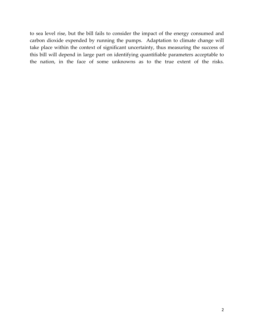to sea level rise, but the bill fails to consider the impact of the energy consumed and carbon dioxide expended by running the pumps. Adaptation to climate change will take place within the context of significant uncertainty, thus measuring the success of this bill will depend in large part on identifying quantifiable parameters acceptable to the nation, in the face of some unknowns as to the true extent of the risks.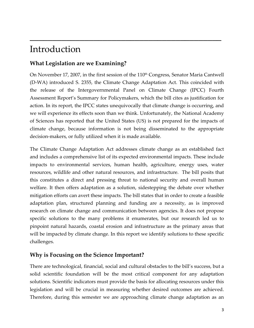# Introduction

# **What Legislation are we Examining?**

On November 17, 2007, in the first session of the 110<sup>th</sup> Congress, Senator Maria Cantwell (D‐WA) introduced S. 2355, the Climate Change Adaptation Act. This coincided with the release of the Intergovernmental Panel on Climate Change (IPCC) Fourth Assessment Report's Summary for Policymakers, which the bill cites as justification for action. In its report, the IPCC states unequivocally that climate change is occurring, and we will experience its effects soon than we think. Unfortunately, the National Academy of Sciences has reported that the United States (US) is not prepared for the impacts of climate change, because information is not being disseminated to the appropriate decision‐makers, or fully utilized when it is made available.

<span id="page-5-0"></span> $\mathcal{L}_\text{max}$  and  $\mathcal{L}_\text{max}$  and  $\mathcal{L}_\text{max}$  and  $\mathcal{L}_\text{max}$  and  $\mathcal{L}_\text{max}$  and  $\mathcal{L}_\text{max}$ 

The Climate Change Adaptation Act addresses climate change as an established fact and includes a comprehensive list of its expected environmental impacts. These include impacts to environmental services, human health, agriculture, energy uses, water resources, wildlife and other natural resources, and infrastructure. The bill posits that this constitutes a direct and pressing threat to national security and overall human welfare. It then offers adaptation as a solution, sidestepping the debate over whether mitigation efforts can avert these impacts. The bill states that in order to create a feasible adaptation plan, structured planning and funding are a necessity, as is improved research on climate change and communication between agencies. It does not propose specific solutions to the many problems it enumerates, but our research led us to pinpoint natural hazards, coastal erosion and infrastructure as the primary areas that will be impacted by climate change. In this report we identify solutions to these specific challenges.

# **Why is Focusing on the Science Important?**

There are technological, financial, social and cultural obstacles to the bill's success, but a solid scientific foundation will be the most critical component for any adaptation solutions. Scientific indicators must provide the basis for allocating resources under this legislation and will be crucial in measuring whether desired outcomes are achieved. Therefore, during this semester we are approaching climate change adaptation as an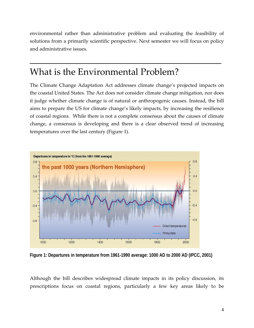<span id="page-6-0"></span>environmental rather than administrative problem and evaluating the feasibility of solutions from a primarily scientific perspective. Next semester we will focus on policy and administrative issues.

 $\mathcal{L}_\text{max}$  and  $\mathcal{L}_\text{max}$  and  $\mathcal{L}_\text{max}$  and  $\mathcal{L}_\text{max}$  and  $\mathcal{L}_\text{max}$  and  $\mathcal{L}_\text{max}$ 

# What is the Environmental Problem?

The Climate Change Adaptation Act addresses climate change's projected impacts on the coastal United States. The Act does not consider climate change mitigation, nor does it judge whether climate change is of natural or anthropogenic causes. Instead, the bill aims to prepare the US for climate change's likely impacts, by increasing the resilience of coastal regions. While there is not a complete consensus about the causes of climate change, a consensus is developing and there is a clear observed trend of increasing temperatures over the last century (Figure 1).



**Figure 1: Departures in temperature from 1961-1990 average: 1000 AD to 2000 AD (IPCC, 2001)** 

Although the bill describes widespread climate impacts in its policy discussion, its prescriptions focus on coastal regions, particularly a few key areas likely to be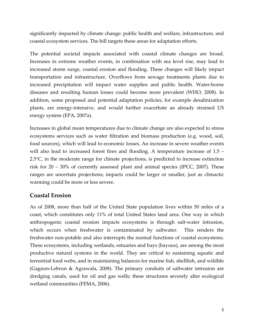<span id="page-7-0"></span>significantly impacted by climate change: public health and welfare, infrastructure, and coastal ecosystem services. The bill targets these areas for adaptation efforts.

The potential societal impacts associated with coastal climate changes are broad. Increases in extreme weather events, in combination with sea level rise, may lead to increased storm surge, coastal erosion and flooding. These changes will likely impact transportation and infrastructure. Overflows from sewage treatments plants due to increased precipitation will impact water supplies and public health. Water-borne diseases and resulting human losses could become more prevalent (WHO, 2008). In addition, some proposed and potential adaptation policies, for example desalinization plants, are energy‐intensive, and would further exacerbate an already strained US energy system (EPA, 2007a).

Increases in global mean temperatures due to climate change are also expected to stress ecosystems services such as water filtration and biomass production (e.g. wood, soil, food sources), which will lead to economic losses. An increase in severe weather events will also lead to increased forest fires and flooding. A temperature increase of 1.5 –  $2.5^{\circ}$ C, in the moderate range for climate projections, is predicted to increase extinction risk for 20 – 30% of currently assessed plant and animal species (IPCC, 2007). These ranges are uncertain projections; impacts could be larger or smaller, just as climactic warming could be more or less severe.

## **Coastal Erosion**

As of 2008, more than half of the United State population lives within 50 miles of a coast, which constitutes only 11% of total United States land area. One way in which anthropogenic coastal erosion impacts ecosystems is through salt‐water intrusion, which occurs when freshwater is contaminated by saltwater. This renders the freshwater non‐potable and also interrupts the normal functions of coastal ecosystems. These ecosystems, including wetlands, estuaries and bays (bayous), are among the most productive natural systems in the world. They are critical to sustaining aquatic and terrestrial food webs, and in maintaining balances for marine fish, shellfish, and wildlife (Gagnon‐Lebrun & Agrawala, 2008). The primary conduits of saltwater intrusion are dredging canals, used for oil and gas wells; these structures severely alter ecological wetland communities (FEMA, 2006).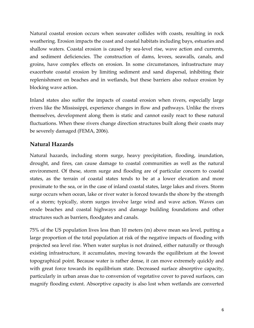<span id="page-8-0"></span>Natural coastal erosion occurs when seawater collides with coasts, resulting in rock weathering. Erosion impacts the coast and coastal habitats including bays, estuaries and shallow waters. Coastal erosion is caused by sea‐level rise, wave action and currents, and sediment deficiencies. The construction of dams, levees, seawalls, canals, and groins, have complex effects on erosion. In some circumstances, infrastructure may exacerbate coastal erosion by limiting sediment and sand dispersal, inhibiting their replenishment on beaches and in wetlands, but these barriers also reduce erosion by blocking wave action.

Inland states also suffer the impacts of coastal erosion when rivers, especially large rivers like the Mississippi, experience changes in flow and pathways. Unlike the rivers themselves, development along them is static and cannot easily react to these natural fluctuations. When these rivers change direction structures built along their coasts may be severely damaged (FEMA, 2006).

## **Natural Hazards**

Natural hazards, including storm surge, heavy precipitation, flooding, inundation, drought, and fires, can cause damage to coastal communities as well as the natural environment. Of these, storm surge and flooding are of particular concern to coastal states, as the terrain of coastal states tends to be at a lower elevation and more proximate to the sea, or in the case of inland coastal states, large lakes and rivers. Storm surge occurs when ocean, lake or river water is forced towards the shore by the strength of a storm; typically, storm surges involve large wind and wave action. Waves can erode beaches and coastal highways and damage building foundations and other structures such as barriers, floodgates and canals.

75% of the US population lives less than 10 meters (m) above mean sea level, putting a large proportion of the total population at risk of the negative impacts of flooding with projected sea level rise. When water surplus is not drained, either naturally or through existing infrastructure, it accumulates, moving towards the equilibrium at the lowest topographical point. Because water is rather dense, it can move extremely quickly and with great force towards its equilibrium state. Decreased surface absorptive capacity, particularly in urban areas due to conversion of vegetative cover to paved surfaces, can magnify flooding extent. Absorptive capacity is also lost when wetlands are converted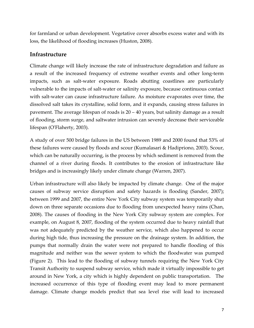<span id="page-9-0"></span>for farmland or urban development. Vegetative cover absorbs excess water and with its loss, the likelihood of flooding increases (Huston, 2008).

## **Infrastructure**

Climate change will likely increase the rate of infrastructure degradation and failure as a result of the increased frequency of extreme weather events and other long‐term impacts, such as salt-water exposure. Roads abutting coastlines are particularly vulnerable to the impacts of salt‐water or salinity exposure, because continuous contact with salt-water can cause infrastructure failure. As moisture evaporates over time, the dissolved salt takes its crystalline, solid form, and it expands, causing stress failures in pavement. The average lifespan of roads is 20 – 40 years, but salinity damage as a result of flooding, storm surge, and saltwater intrusion can severely decrease their serviceable lifespan (O'Flaherty, 2003).

A study of over 500 bridge failures in the US between 1989 and 2000 found that 53% of these failures were caused by floods and scour (Kumalasari & Hadipriono, 2003). Scour, which can be naturally occurring, is the process by which sediment is removed from the channel of a river during floods. It contributes to the erosion of infrastructure like bridges and is increasingly likely under climate change (Warren, 2007).

Urban infrastructure will also likely be impacted by climate change. One of the major causes of subway service disruption and safety hazards is flooding (Sander, 2007); between 1999 and 2007, the entire New York City subway system was temporarily shut down on three separate occasions due to flooding from unexpected heavy rains (Chan, 2008). The causes of flooding in the New York City subway system are complex. For example, on August 8, 2007, flooding of the system occurred due to heavy rainfall that was not adequately predicted by the weather service, which also happened to occur during high tide, thus increasing the pressure on the drainage system. In addition, the pumps that normally drain the water were not prepared to handle flooding of this magnitude and neither was the sewer system to which the floodwater was pumped (Figure 2). This lead to the flooding of subway tunnels requiring the New York City Transit Authority to suspend subway service, which made it virtually impossible to get around in New York, a city which is highly dependent on public transportation. The increased occurrence of this type of flooding event may lead to more permanent damage. Climate change models predict that sea level rise will lead to increased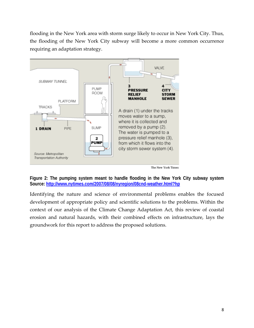flooding in the New York area with storm surge likely to occur in New York City. Thus, the flooding of the New York City subway will become a more common occurrence requiring an adaptation strategy.



**Figure 2: The pumping system meant to handle flooding in the New York City subway system Source:<http://www.nytimes.com/2007/08/08/nyregion/08cnd-weather.html?hp>**

Identifying the nature and science of environmental problems enables the focused development of appropriate policy and scientific solutions to the problems. Within the context of our analysis of the Climate Change Adaptation Act, this review of coastal erosion and natural hazards, with their combined effects on infrastructure, lays the groundwork for this report to address the proposed solutions.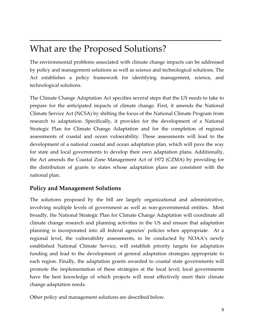# What are the Proposed Solutions?

The environmental problems associated with climate change impacts can be addressed by policy and management solutions as well as science and technological solutions. The Act establishes a policy framework for identifying management, science, and technological solutions.

<span id="page-11-0"></span> $\mathcal{L}_\text{max}$  and  $\mathcal{L}_\text{max}$  and  $\mathcal{L}_\text{max}$  and  $\mathcal{L}_\text{max}$  and  $\mathcal{L}_\text{max}$  and  $\mathcal{L}_\text{max}$ 

The Climate Change Adaptation Act specifies several steps that the US needs to take to prepare for the anticipated impacts of climate change. First, it amends the National Climate Service Act (NCSA) by shifting the focus of the National Climate Program from research to adaptation. Specifically, it provides for the development of a National Strategic Plan for Climate Change Adaptation and for the completion of regional assessments of coastal and ocean vulnerability. These assessments will lead to the development of a national coastal and ocean adaptation plan, which will pave the way for state and local governments to develop their own adaptation plans. Additionally, the Act amends the Coastal Zone Management Act of 1972 (CZMA) by providing for the distribution of grants to states whose adaptation plans are consistent with the national plan.

# **Policy and Management Solutions**

The solutions proposed by the bill are largely organizational and administrative, involving multiple levels of government as well as non‐governmental entities. Most broadly, the National Strategic Plan for Climate Change Adaptation will coordinate all climate change research and planning activities in the US and ensure that adaptation planning is incorporated into all federal agencies' policies when appropriate. At a regional level, the vulnerability assessments, to be conducted by NOAA's newly established National Climate Service, will establish priority targets for adaptation funding and lead to the development of general adaptation strategies appropriate to each region. Finally, the adaptation grants awarded to coastal state governments will promote the implementation of these strategies at the local level; local governments have the best knowledge of which projects will most effectively meet their climate change adaptation needs.

Other policy and management solutions are described below.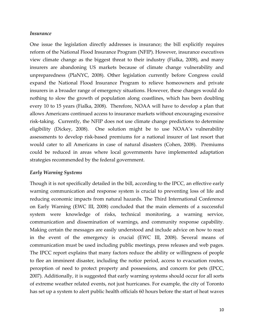#### *Insurance*

One issue the legislation directly addresses is insurance; the bill explicitly requires reform of the National Flood Insurance Program (NFIP). However, insurance executives view climate change as the biggest threat to their industry (Fialka, 2008), and many insurers are abandoning US markets because of climate change vulnerability and unpreparedness (PlaNYC, 2008). Other legislation currently before Congress could expand the National Flood Insurance Program to relieve homeowners and private insurers in a broader range of emergency situations. However, these changes would do nothing to slow the growth of population along coastlines, which has been doubling every 10 to 15 years (Fialka, 2008). Therefore, NOAA will have to develop a plan that allows Americans continued access to insurance markets without encouraging excessive risk-taking. Currently, the NFIP does not use climate change predictions to determine eligibility (Dickey, 2008). One solution might be to use NOAA's vulnerability assessments to develop risk‐based premiums for a national insurer of last resort that would cater to all Americans in case of natural disasters (Cohen, 2008). Premiums could be reduced in areas where local governments have implemented adaptation strategies recommended by the federal government.

### *Early Warning Systems*

Though it is not specifically detailed in the bill, according to the IPCC, an effective early warning communication and response system is crucial to preventing loss of life and reducing economic impacts from natural hazards. The Third International Conference on Early Warning (EWC III, 2008) concluded that the main elements of a successful system were knowledge of risks, technical monitoring, a warning service, communication and dissemination of warnings, and community response capability. Making certain the messages are easily understood and include advice on how to react in the event of the emergency is crucial (EWC III, 2008). Several means of communication must be used including public meetings, press releases and web pages. The IPCC report explains that many factors reduce the ability or willingness of people to flee an imminent disaster, including the notice period, access to evacuation routes, perception of need to protect property and possessions, and concern for pets (IPCC, 2007). Additionally, it is suggested that early warning systems should occur for all sorts of extreme weather related events, not just hurricanes. For example, the city of Toronto has set up a system to alert public health officials 60 hours before the start of heat waves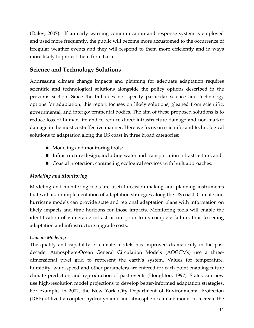<span id="page-13-0"></span>(Daley, 2007). If an early warning communication and response system is employed and used more frequently, the public will become more accustomed to the occurrence of irregular weather events and they will respond to them more efficiently and in ways more likely to protect them from harm.

## **Science and Technology Solutions**

Addressing climate change impacts and planning for adequate adaptation requires scientific and technological solutions alongside the policy options described in the previous section. Since the bill does not specify particular science and technology options for adaptation, this report focuses on likely solutions, gleaned from scientific, governmental, and intergovernmental bodies. The aim of these proposed solutions is to reduce loss of human life and to reduce direct infrastructure damage and non‐market damage in the most cost‐effective manner. Here we focus on scientific and technological solutions to adaptation along the US coast in three broad categories:

- Modeling and monitoring tools;
- Infrastructure design, including water and transportation infrastructure; and
- Coastal protection, contrasting ecological services with built approaches.

## *Modeling and Monitoring*

Modeling and monitoring tools are useful decision‐making and planning instruments that will aid in implementation of adaptation strategies along the US coast. Climate and hurricane models can provide state and regional adaptation plans with information on likely impacts and time horizons for those impacts. Monitoring tools will enable the identification of vulnerable infrastructure prior to its complete failure, thus lessening adaptation and infrastructure upgrade costs.

## *Climate Modeling*

The quality and capability of climate models has improved dramatically in the past decade. Atmosphere‐Ocean General Circulation Models (AOGCMs) use a three‐ dimensional pixel grid to represent the earth's system. Values for temperature, humidity, wind-speed and other parameters are entered for each point enabling future climate prediction and reproduction of past events (Houghton, 1997). States can now use high‐resolution model projections to develop better‐informed adaptation strategies. For example, in 2002, the New York City Department of Environmental Protection (DEP) utilized a coupled hydrodynamic and atmospheric climate model to recreate the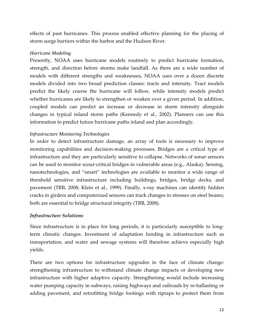effects of past hurricanes. This process enabled effective planning for the placing of storm surge barriers within the harbor and the Hudson River.

### *Hurricane Modeling*

Presently, NOAA uses hurricane models routinely to predict hurricane formation, strength, and direction before storms make landfall. As there are a wide number of models with different strengths and weaknesses, NOAA uses over a dozen discrete models divided into two broad prediction classes: tracts and intensity. Tract models predict the likely course the hurricane will follow, while intensity models predict whether hurricanes are likely to strengthen or weaken over a given period. In addition, coupled models can predict an increase or decrease in storm intensity alongside changes in typical inland storm paths (Kennedy et al., 2002). Planners can use this information to predict future hurricane paths inland and plan accordingly.

## *Infrastructure Monitoring Technologies*

In order to detect infrastructure damage, an array of tools is necessary to improve monitoring capabilities and decision‐making processes. Bridges are a critical type of infrastructure and they are particularly sensitive to collapse. Networks of sonar sensors can be used to monitor scour‐critical bridges in vulnerable areas (e.g., Alaska). Sensing, nanotechnologies, and "smart" technologies are available to monitor a wide range of threshold sensitive infrastructure including buildings, bridges, bridge decks, and pavement (TRB, 2008; Klein et al., 1999). Finally, x‐ray machines can identify hidden cracks in girders and computerized sensors can track changes in stresses on steel beams; both are essential to bridge structural integrity (TRB, 2008).

### *Infrastructure Solutions*

Since infrastructure is in place for long periods, it is particularly susceptible to longterm climatic changes. Investment of adaptation funding in infrastructure such as transportation, and water and sewage systems will therefore achieve especially high yields.

There are two options for infrastructure upgrades in the face of climate change: strengthening infrastructure to withstand climate change impacts or developing new infrastructure with higher adaptive capacity. Strengthening would include increasing water pumping capacity in subways, raising highways and railroads by re-ballasting or adding pavement, and retrofitting bridge footings with ripraps to protect them from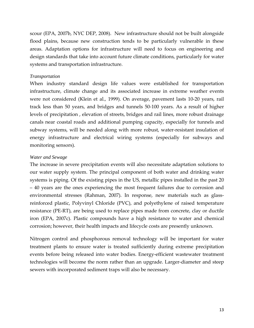scour (EPA, 2007b, NYC DEP, 2008). New infrastructure should not be built alongside flood plains, because new construction tends to be particularly vulnerable in these areas. Adaptation options for infrastructure will need to focus on engineering and design standards that take into account future climate conditions, particularly for water systems and transportation infrastructure.

#### *Transportation*

When industry standard design life values were established for transportation infrastructure, climate change and its associated increase in extreme weather events were not considered (Klein et al., 1999). On average, pavement lasts 10‐20 years, rail track less than 50 years, and bridges and tunnels 50‐100 years. As a result of higher levels of precipitation , elevation of streets, bridges and rail lines, more robust drainage canals near coastal roads and additional pumping capacity, especially for tunnels and subway systems, will be needed along with more robust, water-resistant insulation of energy infrastructure and electrical wiring systems (especially for subways and monitoring sensors).

#### *Water and Sewage*

The increase in severe precipitation events will also necessitate adaptation solutions to our water supply system. The principal component of both water and drinking water systems is piping. Of the existing pipes in the US, metallic pipes installed in the past 20 – 40 years are the ones experiencing the most frequent failures due to corrosion and environmental stresses (Rahman, 2007). In response, new materials such as glassreinforced plastic, Polyvinyl Chloride (PVC), and polyethylene of raised temperature resistance (PE‐RT), are being used to replace pipes made from concrete, clay or ductile iron (EPA, 2007c). Plastic compounds have a high resistance to water and chemical corrosion; however, their health impacts and lifecycle costs are presently unknown.

Nitrogen control and phosphorous removal technology will be important for water treatment plants to ensure water is treated sufficiently during extreme precipitation events before being released into water bodies. Energy-efficient wastewater treatment technologies will become the norm rather than an upgrade. Larger‐diameter and steep sewers with incorporated sediment traps will also be necessary.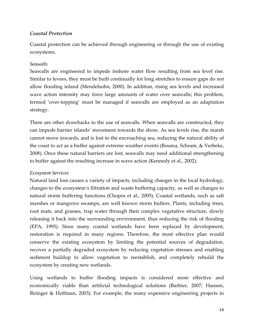## *Coastal Protection*

Coastal protection can be achieved through engineering or through the use of existing ecosystems.

### *Seawalls*

Seawalls are engineered to impede inshore water flow resulting from sea level rise. Similar to levees, they must be built continually for long stretches to ensure gaps do not allow flooding inland (Mendelsohn, 2000). In addition, rising sea levels and increased wave action intensity may force large amounts of water over seawalls; this problem, termed 'over-topping' must be managed if seawalls are employed as an adaptation strategy.

There are other drawbacks to the use of seawalls. When seawalls are constructed, they can impede barrier islands' movement towards the shore. As sea levels rise, the marsh cannot move inwards, and is lost to the encroaching sea, reducing the natural ability of the coast to act as a buffer against extreme weather events (Bouma, Schram, & Verbeke, 2008). Once these natural barriers are lost, seawalls may need additional strengthening to buffer against the resulting increase in wave action (Kennedy et al., 2002).

### *Ecosystem Services*

Natural land loss causes a variety of impacts, including changes in the local hydrology, changes to the ecosystem's filtration and waste buffering capacity, as well as changes to natural storm buffering functions (Chopra et al., 2005). Coastal wetlands, such as salt marshes or mangrove swamps, are well known storm buffers. Plants, including trees, root mats, and grasses, trap water through their complex vegetative structure, slowly releasing it back into the surrounding environment, thus reducing the risk of flooding (EPA, 1995). Since many coastal wetlands have been replaced by development, restoration is required in many regions. Therefore, the most effective plan would conserve the existing ecosystem by limiting the potential sources of degradation, recover a partially degraded ecosystem by reducing vegetation stresses and enabling sediment buildup to allow vegetation to reestablish, and completely rebuild the ecosystem by creating new wetlands.

Using wetlands to buffer flooding impacts is considered more effective and economically viable than artificial technological solutions (Barbier, 2007; Hansen, Biringer & Hoffman, 2003). For example, the many expensive engineering projects in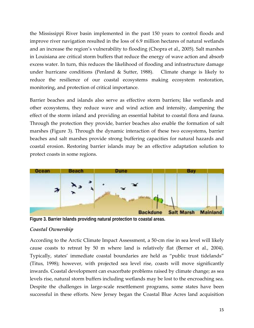the Mississippi River basin implemented in the past 150 years to control floods and improve river navigation resulted in the loss of 6.9 million hectares of natural wetlands and an increase the region's vulnerability to flooding (Chopra et al., 2005). Salt marshes in Louisiana are critical storm buffers that reduce the energy of wave action and absorb excess water. In turn, this reduces the likelihood of flooding and infrastructure damage under hurricane conditions (Penland & Sutter, 1988). Climate change is likely to reduce the resilience of our coastal ecosystems making ecosystem restoration, monitoring, and protection of critical importance.

Barrier beaches and islands also serve as effective storm barriers; like wetlands and other ecosystems, they reduce wave and wind action and intensity, dampening the effect of the storm inland and providing an essential habitat to coastal flora and fauna. Through the protection they provide, barrier beaches also enable the formation of salt marshes (Figure 3). Through the dynamic interaction of these two ecosystems, barrier beaches and salt marshes provide strong buffering capacities for natural hazards and coastal erosion. Restoring barrier islands may be an effective adaptation solution to protect coasts in some regions.



**Figure 3. Barrier Islands providing natural protection to coastal areas.** 

## *Coastal Ownership*

According to the Arctic Climate Impact Assessment, a 50‐cm rise in sea level will likely cause coasts to retreat by 50 m where land is relatively flat (Berner et al., 2004). Typically, states' immediate coastal boundaries are held as "public trust tidelands" (Titus, 1998); however, with projected sea level rise, coasts will move significantly inwards. Coastal development can exacerbate problems raised by climate change; as sea levels rise, natural storm buffers including wetlands may be lost to the encroaching sea. Despite the challenges in large-scale resettlement programs, some states have been successful in these efforts. New Jersey began the Coastal Blue Acres land acquisition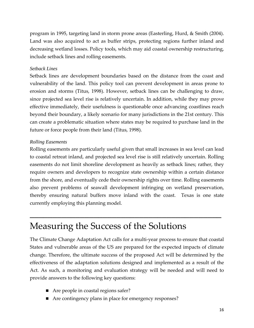<span id="page-18-0"></span>program in 1995, targeting land in storm prone areas (Easterling, Hurd, & Smith (2004). Land was also acquired to act as buffer strips, protecting regions further inland and decreasing wetland losses. Policy tools, which may aid coastal ownership restructuring, include setback lines and rolling easements.

### *Setback Lines*

Setback lines are development boundaries based on the distance from the coast and vulnerability of the land. This policy tool can prevent development in areas prone to erosion and storms (Titus, 1998). However, setback lines can be challenging to draw, since projected sea level rise is relatively uncertain. In addition, while they may prove effective immediately, their usefulness is questionable once advancing coastlines reach beyond their boundary, a likely scenario for many jurisdictions in the 21st century. This can create a problematic situation where states may be required to purchase land in the future or force people from their land (Titus, 1998).

## *Rolling Easements*

Rolling easements are particularly useful given that small increases in sea level can lead to coastal retreat inland, and projected sea level rise is still relatively uncertain. Rolling easements do not limit shoreline development as heavily as setback lines; rather, they require owners and developers to recognize state ownership within a certain distance from the shore, and eventually cede their ownership rights over time. Rolling easements also prevent problems of seawall development infringing on wetland preservation, thereby ensuring natural buffers move inland with the coast. Texas is one state currently employing this planning model.

 $\mathcal{L}_\text{max}$  and  $\mathcal{L}_\text{max}$  and  $\mathcal{L}_\text{max}$  and  $\mathcal{L}_\text{max}$  and  $\mathcal{L}_\text{max}$  and  $\mathcal{L}_\text{max}$ 

# Measuring the Success of the Solutions

The Climate Change Adaptation Act calls for a multi‐year process to ensure that coastal States and vulnerable areas of the US are prepared for the expected impacts of climate change. Therefore, the ultimate success of the proposed Act will be determined by the effectiveness of the adaptation solutions designed and implemented as a result of the Act. As such, a monitoring and evaluation strategy will be needed and will need to provide answers to the following key questions:

- Are people in coastal regions safer?
- Are contingency plans in place for emergency responses?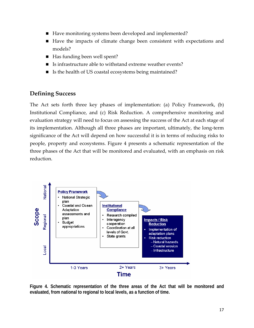- <span id="page-19-0"></span>■ Have monitoring systems been developed and implemented?
- Have the impacts of climate change been consistent with expectations and models?
- Has funding been well spent?
- Is infrastructure able to withstand extreme weather events?
- Is the health of US coastal ecosystems being maintained?

# **Defining Success**

The Act sets forth three key phases of implementation: (a) Policy Framework, (b) Institutional Compliance, and (c) Risk Reduction. A comprehensive monitoring and evaluation strategy will need to focus on assessing the success of the Act at each stage of its implementation. Although all three phases are important, ultimately, the long‐term significance of the Act will depend on how successful it is in terms of reducing risks to people, property and ecosystems. Figure 4 presents a schematic representation of the three phases of the Act that will be monitored and evaluated, with an emphasis on risk reduction.



**Figure 4. Schematic representation of the three areas of the Act that will be monitored and evaluated, from national to regional to local levels, as a function of time.**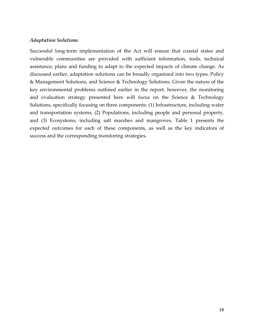### *Adaptation Solutions*

Successful long-term implementation of the Act will ensure that coastal states and vulnerable communities are provided with sufficient information, tools, technical assistance, plans and funding to adapt to the expected impacts of climate change. As discussed earlier, adaptation solutions can be broadly organized into two types: Policy & Management Solutions, and Science & Technology Solutions. Given the nature of the key environmental problems outlined earlier in the report, however, the monitoring and evaluation strategy presented here will focus on the Science & Technology Solutions, specifically focusing on three components: (1) Infrastructure, including water and transportation systems, (2) Populations, including people and personal property, and (3) Ecosystems, including salt marshes and mangroves. Table 1 presents the expected outcomes for each of these components, as well as the key indicators of success and the corresponding monitoring strategies.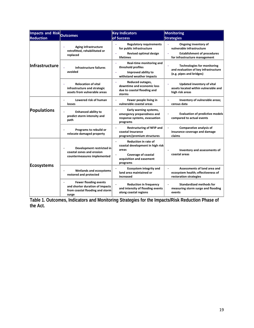| Impacts and Risk<br><b>Reduction</b> | <b>Outcomes</b>                                                                                             | <b>Key Indicators</b><br>of Success                                                                                                            | <b>Monitoring</b><br><b>Strategies</b>                                                                                   |
|--------------------------------------|-------------------------------------------------------------------------------------------------------------|------------------------------------------------------------------------------------------------------------------------------------------------|--------------------------------------------------------------------------------------------------------------------------|
| <b>Infrastructure</b>                | <b>Aging infrastructure</b><br>retrofitted, rehabilitated or<br>replaced                                    | <b>Regulatory requirements</b><br>for public infrastructure<br><b>Revised optimal design</b><br>lifetimes                                      | Ongoing inventory of<br>vulnerable infrastructure<br><b>Establishment of procedures</b><br>for infrastructure management |
|                                      | Infrastructure failures<br>avoided                                                                          | Real-time monitoring and<br>$\overline{\phantom{a}}$<br>threshold profiles<br>Improved ability to<br>withstand weather impacts                 | <b>Technologies for monitoring</b><br>and evaluation of key infrastructure<br>(e.g. pipes and bridges)                   |
|                                      | <b>Relocation of vital</b><br>infrastructure and strategic<br>assets from vulnerable areas                  | Reduced outages,<br>downtime and economic loss<br>due to coastal flooding and<br>storms                                                        | Updated inventory of vital<br>assets located within vulnerable and<br>high risk areas                                    |
| Populations                          | Lowered risk of human<br>losses                                                                             | Fewer people living in<br>vulnerable coastal areas                                                                                             | Inventory of vulnerable areas;<br>census data                                                                            |
|                                      | <b>Enhanced ability to</b><br>predict storm intensity and<br>path                                           | Early warning systems,<br>emergency preparedness and<br>response systems, evacuation<br>programs                                               | <b>Evaluation of predictive models</b><br>compared to actual events                                                      |
|                                      | Programs to rebuild or<br>relocate damaged property                                                         | <b>Restructuring of NFIP and</b><br>coastal Insurance<br>program/premium structures                                                            | Comparative analysis of<br>insurance coverage and damage<br>claims                                                       |
| <b>Ecosystems</b>                    | Development restricted in<br>coastal zones and erosion<br>countermeasures implemented                       | <b>Reduction in rate of</b><br>coastal development in high risk<br>areas<br><b>Coverage of coastal</b><br>acquisition and easement<br>programs | Inventory and assessments of<br>coastal areas                                                                            |
|                                      | <b>Wetlands and ecosystems</b><br>restored and protected                                                    | <b>Ecosystem integrity and</b><br>land area maintained or<br>increased                                                                         | Assessments of land area and<br>ecosystem health; effectiveness of<br>restoration strategies                             |
|                                      | <b>Fewer flooding events</b><br>and shorter duration of impacts<br>from coastal flooding and storm<br>surge | <b>Reduction in frequency</b><br>and intensity of flooding events<br>along coastal regions                                                     | <b>Standardized methods for</b><br>measuring storm surge and flooding<br>events                                          |

**Table 1. Outcomes, Indicators and Monitoring Strategies for the Impacts/Risk Reduction Phase of the Act.**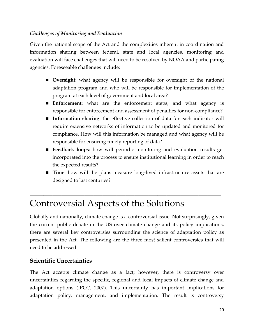## <span id="page-22-0"></span>*Challenges of Monitoring and Evaluation*

Given the national scope of the Act and the complexities inherent in coordination and information sharing between federal, state and local agencies, monitoring and evaluation will face challenges that will need to be resolved by NOAA and participating agencies. Foreseeable challenges include:

- **Diversight:** what agency will be responsible for oversight of the national adaptation program and who will be responsible for implementation of the program at each level of government and local area?
- **Enforcement**: what are the enforcement steps, and what agency is responsible for enforcement and assessment of penalties for non‐compliance?
- **Information sharing**: the effective collection of data for each indicator will require extensive networks of information to be updated and monitored for compliance. How will this information be managed and what agency will be responsible for ensuring timely reporting of data?
- **Feedback loops**: how will periodic monitoring and evaluation results get incorporated into the process to ensure institutional learning in order to reach the expected results?
- **Time**: how will the plans measure long-lived infrastructure assets that are designed to last centuries?

# Controversial Aspects of the Solutions

Globally and nationally, climate change is a controversial issue. Not surprisingly, given the current public debate in the US over climate change and its policy implications, there are several key controversies surrounding the science of adaptation policy as presented in the Act. The following are the three most salient controversies that will need to be addressed.

 $\mathcal{L}_\text{max}$  and  $\mathcal{L}_\text{max}$  and  $\mathcal{L}_\text{max}$  and  $\mathcal{L}_\text{max}$  and  $\mathcal{L}_\text{max}$  and  $\mathcal{L}_\text{max}$ 

## **Scientific Uncertainties**

The Act accepts climate change as a fact; however, there is controversy over uncertainties regarding the specific, regional and local impacts of climate change and adaptation options (IPCC, 2007). This uncertainty has important implications for adaptation policy, management, and implementation. The result is controversy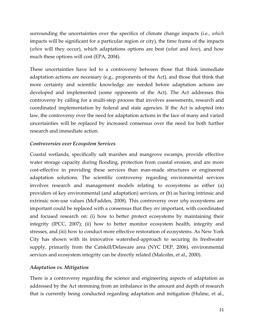surrounding the uncertainties over the specifics of climate change impacts (i.e., *which* impacts will be significant for a particular region or city), the time frame of the impacts (*when* will they occur), which adaptations options are best (*what* and *how*), and how much these options will cost (EPA, 2004).

These uncertainties have led to a controversy between those that think immediate adaptation actions are necessary (e.g., proponents of the Act), and those that think that more certainty and scientific knowledge are needed before adaptation actions are developed and implemented (some opponents of the Act). The Act addresses this controversy by calling for a multi‐step process that involves assessments, research and coordinated implementation by federal and state agencies. If the Act is adopted into law, the controversy over the need for adaptation actions in the face of many and varied uncertainties will be replaced by increased consensus over the need for both further research and immediate action.

## *Controversies over Ecosystem Services*

Coastal wetlands, specifically salt marshes and mangrove swamps, provide effective water storage capacity during flooding, protection from coastal erosion, and are more cost-effective in providing these services than man-made structures or engineered adaptation solutions. The scientific controversy regarding environmental services involves research and management models relating to ecosystems as either (a) providers of key environmental (and adaptation) services, or (b) as having intrinsic and extrinsic non‐use values (McFadden, 2008). This controversy over *why* ecosystems are important could be replaced with a consensus that they *are* important, with coordinated and focused research on: (i) how to better protect ecosystems by maintaining their integrity (IPCC, 2007); (ii) how to better monitor ecosystem health, integrity and stresses, and (iii) how to conduct more effective restoration of ecosystems. As New York City has shown with its innovative watershed‐approach to securing its freshwater supply, primarily from the Catskill/Delaware area (NYC DEP, 2006), environmental services and ecosystem integrity can be directly related (Malcolm, et al., 2000).

### *Adaptation vs. Mitigation*

There is a controversy regarding the science and engineering aspects of adaptation as addressed by the Act stemming from an imbalance in the amount and depth of research that is currently being conducted regarding adaptation and mitigation (Hulme, et al.,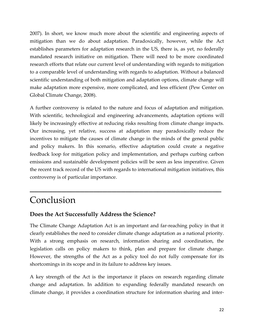<span id="page-24-0"></span>2007). In short, we know much more about the scientific and engineering aspects of mitigation than we do about adaptation. Paradoxically, however, while the Act establishes parameters for adaptation research in the US, there is, as yet, no federally mandated research initiative on mitigation. There will need to be more coordinated research efforts that relate our current level of understanding with regards to mitigation to a comparable level of understanding with regards to adaptation. Without a balanced scientific understanding of both mitigation and adaptation options, climate change will make adaptation more expensive, more complicated, and less efficient (Pew Center on Global Climate Change, 2008).

A further controversy is related to the nature and focus of adaptation and mitigation. With scientific, technological and engineering advancements, adaptation options will likely be increasingly effective at reducing risks resulting from climate change impacts. Our increasing, yet relative, success at adaptation may paradoxically reduce the incentives to mitigate the causes of climate change in the minds of the general public and policy makers. In this scenario, effective adaptation could create a negative feedback loop for mitigation policy and implementation, and perhaps curbing carbon emissions and sustainable development policies will be seen as less imperative. Given the recent track record of the US with regards to international mitigation initiatives, this controversy is of particular importance.

 $\mathcal{L}_\text{max}$  and  $\mathcal{L}_\text{max}$  and  $\mathcal{L}_\text{max}$  and  $\mathcal{L}_\text{max}$  and  $\mathcal{L}_\text{max}$  and  $\mathcal{L}_\text{max}$ 

# Conclusion

## **Does the Act Successfully Address the Science?**

The Climate Change Adaptation Act is an important and far-reaching policy in that it clearly establishes the need to consider climate change adaptation as a national priority. With a strong emphasis on research, information sharing and coordination, the legislation calls on policy makers to think, plan and prepare for climate change. However, the strengths of the Act as a policy tool do not fully compensate for its shortcomings in its scope and in its failure to address key issues.

A key strength of the Act is the importance it places on research regarding climate change and adaptation. In addition to expanding federally mandated research on climate change, it provides a coordination structure for information sharing and inter‐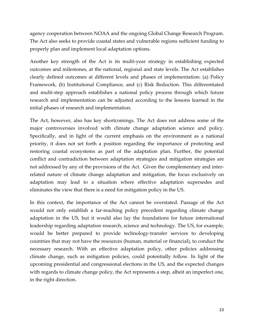agency cooperation between NOAA and the ongoing Global Change Research Program. The Act also seeks to provide coastal states and vulnerable regions sufficient funding to properly plan and implement local adaptation options.

Another key strength of the Act is its multi‐year strategy in establishing expected outcomes and milestones, at the national, regional and state levels. The Act establishes clearly defined outcomes at different levels and phases of implementation: (a) Policy Framework, (b) Institutional Compliance, and (c) Risk Reduction. This differentiated and multi‐step approach establishes a national policy process through which future research and implementation can be adjusted according to the lessons learned in the initial phases of research and implementation.

The Act, however, also has key shortcomings. The Act does not address some of the major controversies involved with climate change adaptation science and policy. Specifically, and in light of the current emphasis on the environment as a national priority, it does not set forth a position regarding the importance of protecting and restoring coastal ecosystems as part of the adaptation plan. Further, the potential conflict and contradiction between adaptation strategies and mitigation strategies are not addressed by any of the provisions of the Act. Given the complementary and interrelated nature of climate change adaptation and mitigation, the focus exclusively on adaptation may lead to a situation where effective adaptation supersedes and eliminates the view that there is a need for mitigation policy in the US.

In this context, the importance of the Act cannot be overstated. Passage of the Act would not only establish a far-reaching policy precedent regarding climate change adaptation in the US, but it would also lay the foundations for future international leadership regarding adaptation research, science and technology. The US, for example, would be better prepared to provide technology-transfer services to developing countries that may not have the resources (human, material or financial), to conduct the necessary research. With an effective adaptation policy, other policies addressing climate change, such as mitigation policies, could potentially follow. In light of the upcoming presidential and congressional elections in the US, and the expected changes with regards to climate change policy, the Act represents a step, albeit an imperfect one, in the right direction.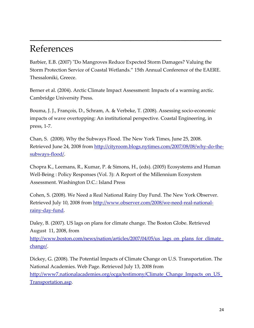# References

Barbier, E.B. (2007) "Do Mangroves Reduce Expected Storm Damages? Valuing the Storm Protection Service of Coastal Wetlands." 15th Annual Conference of the EAERE. Thessaloniki, Greece.

<span id="page-26-0"></span> $\mathcal{L}_\text{max}$  and  $\mathcal{L}_\text{max}$  and  $\mathcal{L}_\text{max}$  and  $\mathcal{L}_\text{max}$  and  $\mathcal{L}_\text{max}$  and  $\mathcal{L}_\text{max}$ 

Berner et al. (2004). Arctic Climate Impact Assessment: Impacts of a warming arctic. Cambridge University Press.

Bouma, J. J., François, D., Schram, A. & Verbeke, T. (2008). Assessing socio‐economic impacts of wave overtopping: An institutional perspective. Coastal Engineering, in press, 1‐7.

Chan, S. (2008). Why the Subways Flood. The New York Times, June 25, 2008. Retrieved June 24, 2008 from [http://cityroom.blogs.nytimes.com/2007/08/08/why](http://cityroom.blogs.nytimes.com/2007/08/08/why-do-the-subways-flood/)-do-the[subways](http://cityroom.blogs.nytimes.com/2007/08/08/why-do-the-subways-flood/)‐flood/.

Chopra K., Leemans, R., Kumar, P. & Simons, H., (eds). (2005) Ecosystems and Human Well-Being : Policy Responses (Vol. 3): A Report of the Millennium Ecosystem Assessment. Washington D.C.: Island Press

Cohen, S. (2008). We Need a Real National Rainy Day Fund. The New York Observer. Retrieved July 10, 2008 from [http://www.observer.com/2008/we](http://www.observer.com/2008/we-need-real-national-rainy-day-fund)-need-real-national[rainy](http://www.observer.com/2008/we-need-real-national-rainy-day-fund)‐day‐fund.

Daley, B. (2007). US lags on plans for climate change. The Boston Globe. Retrieved August 11, 2008, from

http://www.boston.com/news/nation/articles/2007/04/05/us lags on plans for climate [change/.](http://www.boston.com/news/nation/articles/2007/04/05/us_lags_on_plans_for_climate_change/)

Dickey, G. (2008). The Potential Impacts of Climate Change on U.S. Transportation. The National Academies. Web Page. Retrieved July 13, 2008 from http://www7.nationalacademies.org/ocga/testimony/Climate Change Impacts on US [Transportation.asp.](http://www7.nationalacademies.org/ocga/testimony/Climate_Change_Impacts_on_US_Transportation.asp)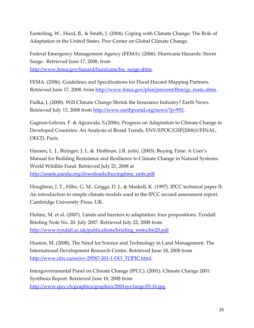Easterling, W., Hurd, B., & Smith, J. (2004). Coping with Climate Change: The Role of Adaptation in the United States. Pew Center on Global Climate Change.

Federal Emergency Management Agency (FEMA). (2006). Hurricane Hazards: Storm Surge. Retrieved June 17, 2008, from [http://www.fema.gov/hazard/hurricane/hu\\_surge.shtm](http://www.fema.gov/hazard/hurricane/hu_surge.shtm).

FEMA. (2006). Guidelines and Specifications for Flood Hazard Mapping Partners. Retrieved June 17, 2008, from [http://www.fema.gov/plan/prevent/fhm/gs\\_main.shtm.](http://www.fema.gov/plan/prevent/fhm/gs_main.shtm)

Fialka, J. (2008). Will Climate Change Shrink the Insurance Industry? Earth News. Retrieved July 13, 2008 from [http://www.earthportal.org/news/?p=992.](http://www.earthportal.org/news/?p=992)

Gagnon‐Lebrun, F. & Agrawala, S.(2006), Progress on Adaptation to Climate Change in Developed Countries: An Analysis of Broad Trends, ENV/EPOC/GSP(2006)1/FINAL, OECD, Paris.

Hansen, L. J., Biringer, J. L. & Hoffman, J.R. (eds). (2003). Buying Time: A User's Manual for Building Resistance and Resilience to Climate Change in Natural Systems. World Wildlife Fund. Retrieved July 21, 2008 at [http://assets.panda.org/downloads/buyingtime\\_unfe.pdf](http://assets.panda.org/downloads/buyingtime_unfe.pdf)

Houghton, J. T., Filbo, G. M., Griggs, D. J., & Maskell, K. (1997). IPCC technical paper II: An introduction to simple climate models used in the IPCC second assessment report. Cambridge University Press, UK.

Hulme, M. et al. (2007). Limits and barriers to adaptation: four propositions. Tyndall Briefing Note No. 20. July 2007. Retrieved July 22, 2008 from [http://www.tyndall.ac.uk/publications/briefing\\_notes/bn20.pdf](http://www.tyndall.ac.uk/publications/briefing_notes/bn20.pdf)

Huston, M. (2008). The Need for Science and Technology in Land Management. The International Development Research Centre. Retrieved June 18, 2008 from [http://www.idrc.ca/en/ev](http://www.idrc.ca/en/ev-29587-201-1-DO_TOPIC.html)‐29587‐201‐1‐DO\_TOPIC.html.

Intergovernmental Panel on Climate Change (IPCC). (2001). Climate Change 2001: Synthesis Report. Retrieved June 18, 2008 from <http://www.ipcc.ch/graphics/graphics/2001syr/large/05.16.jpg>.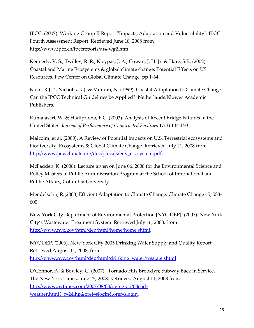IPCC. (2007). Working Group II Report "Impacts, Adaptation and Vulnerability". IPCC Fourth Assessment Report. Retrieved June 18, 2008 from [http://www.ipcc.ch/ipccreports/ar4](http://www.ipcc.ch/ipccreports/ar4-wg2.htm)‐wg2.htm

Kennedy, V. S., Twilley, R. R., Kleypas, J. A., Cowan, J. H. Jr. & Hare, S.R. (2002). Coastal and Marine Ecosystems & global climate change: Potential Effects on US Resources. Pew Center on Global Climate Change, pp 1‐64.

Klein, R.J.T., Nicholls, R.J. & Mimura, N. (1999). Coastal Adaptation to Climate Change: Can the IPCC Technical Guidelines be Applied? Netherlands:Kluwer Academic Publishers.

Kumalasari, W. & Hadipriono, F.C. (2003). Analysis of Recent Bridge Failures in the United States. *Journal of Performance of Constructed Facilities* 17(3) 144‐150

Malcolm, et al. (2000). A Review of Potential impacts on U.S. Terrestrial ecosystems and biodiversity. Ecosystems & Global Climate Change. Retrieved July 21, 2008 from [http://www.pewclimate.org/doc/plocals/env\\_ecosystem.pdf.](http://www.pewclimate.org/doc/plocals/env_ecosystem.pdf)

McFadden, K. (2008). Lecture given on June 06, 2008 for the Environmental Science and Policy Masters in Public Administration Program at the School of International and Public Affairs, Columbia University.

Mendelsohn, R.(2000) Efficient Adaptation to Climate Change. Climate Change 45, 583‐ 600.

New York City Department of Environmental Protection [NYC DEP]. (2007). New York City's Wastewater Treatment System. Retrieved July 16, 2008, from <http://www.nyc.gov/html/dep/html/home/home.shtml>.

NYC DEP. (2006). New York City 2005 Drinking Water Supply and Quality Report. Retrieved August 11, 2008, from. [http://www.nyc.gov/html/dep/html/drinking\\_water/wsstate.shtml](http://www.nyc.gov/html/dep/html/drinking_water/wsstate.shtml)

O'Connor, A. & Bowley, G. (2007). Tornado Hits Brooklyn; Subway Back in Service. The New York Times, June 25, 2008. Retrieved August 11, 2008 from [http://www.nytimes.com/2007/08/08/nyregion/08cnd](http://www.nytimes.com/2007/08/08/nyregion/08cnd-weather.html?_r=2&hp&oref=slogin&oref=slogin)‐ weather.html? r=2&hp&oref=slogin&oref=slogin.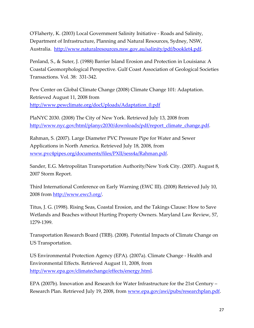OʹFlaherty, K. (2003) Local Government Salinity Initiative ‐ Roads and Salinity, Department of Infrastructure, Planning and Natural Resources, Sydney, NSW, Australia. <http://www.naturalresources.nsw.gov.au/salinity/pdf/booklet4.pdf>.

Penland, S., & Suter, J. (1988) Barrier Island Erosion and Protection in Louisiana: A Coastal Geomorphological Perspective. Gulf Coast Association of Geological Societies Transactions. Vol. 38: 331‐342.

Pew Center on Global Climate Change (2008) Climate Change 101: Adaptation. Retrieved August 11, 2008 from [http://www.pewclimate.org/docUploads/Adaptation\\_0.pdf](http://www.pewclimate.org/docUploads/Adaptation_0.pdf)

PlaNYC 2030. (2008) The City of New York. Retrieved July 13, 2008 from [http://www.nyc.gov/html/planyc2030/downloads/pdf/report\\_climate\\_change.pdf](http://www.nyc.gov/html/planyc2030/downloads/pdf/report_climate_change.pdf).

Rahman, S. (2007). Large Diameter PVC Pressure Pipe for Water and Sewer Applications in North America. Retrieved July 18, 2008, from [www.pvc4pipes.org/documents/files/PXII/sess4a/Rahman.pdf](http://www.pvc4pipes.org/documents/files/PXII/sess4a/Rahman.pdf).

Sander, E.G. Metropolitan Transportation Authority/New York City. (2007). August 8, 2007 Storm Report.

Third International Conference on Early Warning (EWC III). (2008) Retrieved July 10, 2008 from [http://www.ewc3.org/.](http://www.ewc3.org/)

Titus, J. G. (1998). Rising Seas, Coastal Erosion, and the Takings Clause: How to Save Wetlands and Beaches without Hurting Property Owners. Maryland Law Review, 57, 1279‐1399.

Transportation Research Board (TRB). (2008). Potential Impacts of Climate Change on US Transportation.

US Environmental Protection Agency (EPA). (2007a). Climate Change ‐ Health and Environmental Effects. Retrieved August 11, 2008, from [http://www.epa.gov/climatechange/effects/energy.html.](http://www.epa.gov/climatechange/effects/energy.html)

EPA (2007b). Innovation and Research for Water Infrastructure for the 21st Century – Research Plan. Retrieved July 19, 2008, from [www.epa.gov/awi/pubs/researchplan.pdf.](http://www.epa.gov/awi/pubs/researchplan.pdf)